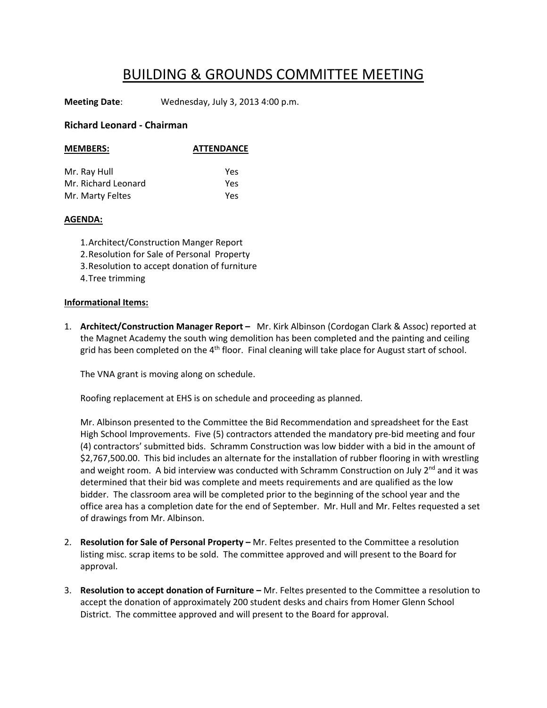## BUILDING & GROUNDS COMMITTEE MEETING

**Meeting Date**: Wednesday, July 3, 2013 4:00 p.m.

## **Richard Leonard ‐ Chairman**

| <b>MEMBERS:</b>     | <b>ATTENDANCE</b> |
|---------------------|-------------------|
| Mr. Ray Hull        | Yes               |
| Mr. Richard Leonard | Yes               |
| Mr. Marty Feltes    | Yes               |

## **AGENDA:**

1.Architect/Construction Manger Report 2.Resolution for Sale of Personal Property 3.Resolution to accept donation of furniture 4.Tree trimming

## **Informational Items:**

1. **Architect/Construction Manager Report –** Mr. Kirk Albinson (Cordogan Clark & Assoc) reported at the Magnet Academy the south wing demolition has been completed and the painting and ceiling grid has been completed on the  $4<sup>th</sup>$  floor. Final cleaning will take place for August start of school.

The VNA grant is moving along on schedule.

Roofing replacement at EHS is on schedule and proceeding as planned.

Mr. Albinson presented to the Committee the Bid Recommendation and spreadsheet for the East High School Improvements. Five (5) contractors attended the mandatory pre‐bid meeting and four (4) contractors' submitted bids. Schramm Construction was low bidder with a bid in the amount of \$2,767,500.00. This bid includes an alternate for the installation of rubber flooring in with wrestling and weight room. A bid interview was conducted with Schramm Construction on July  $2^{nd}$  and it was determined that their bid was complete and meets requirements and are qualified as the low bidder. The classroom area will be completed prior to the beginning of the school year and the office area has a completion date for the end of September. Mr. Hull and Mr. Feltes requested a set of drawings from Mr. Albinson.

- 2. **Resolution for Sale of Personal Property –** Mr. Feltes presented to the Committee a resolution listing misc. scrap items to be sold. The committee approved and will present to the Board for approval.
- 3. **Resolution to accept donation of Furniture –** Mr. Feltes presented to the Committee a resolution to accept the donation of approximately 200 student desks and chairs from Homer Glenn School District. The committee approved and will present to the Board for approval.